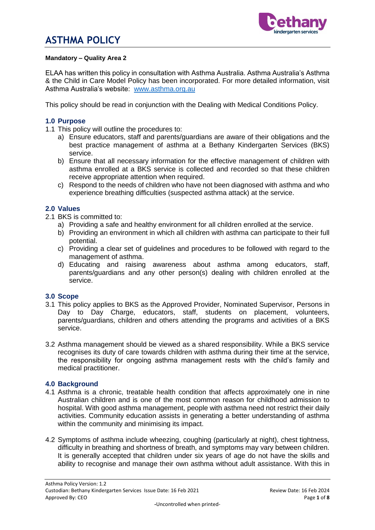

#### **Mandatory – Quality Area 2**

ELAA has written this policy in consultation with Asthma Australia. Asthma Australia's Asthma & the Child in Care Model Policy has been incorporated. For more detailed information, visit Asthma Australia's website: [www.asthma.org.au](http://www.asthma.org.au/)

This policy should be read in conjunction with the Dealing with Medical Conditions Policy.

#### **1.0 Purpose**

- 1.1 This policy will outline the procedures to:
	- a) Ensure educators, staff and parents/guardians are aware of their obligations and the best practice management of asthma at a Bethany Kindergarten Services (BKS) service.
	- b) Ensure that all necessary information for the effective management of children with asthma enrolled at a BKS service is collected and recorded so that these children receive appropriate attention when required.
	- c) Respond to the needs of children who have not been diagnosed with asthma and who experience breathing difficulties (suspected asthma attack) at the service.

#### **2.0 Values**

- 2.1 BKS is committed to:
	- a) Providing a safe and healthy environment for all children enrolled at the service.
	- b) Providing an environment in which all children with asthma can participate to their full potential.
	- c) Providing a clear set of guidelines and procedures to be followed with regard to the management of asthma.
	- d) Educating and raising awareness about asthma among educators, staff, parents/guardians and any other person(s) dealing with children enrolled at the service.

#### **3.0 Scope**

- 3.1 This policy applies to BKS as the Approved Provider, Nominated Supervisor, Persons in Day to Day Charge, educators, staff, students on placement, volunteers, parents/guardians, children and others attending the programs and activities of a BKS service.
- 3.2 Asthma management should be viewed as a shared responsibility. While a BKS service recognises its duty of care towards children with asthma during their time at the service, the responsibility for ongoing asthma management rests with the child's family and medical practitioner.

#### **4.0 Background**

- 4.1 Asthma is a chronic, treatable health condition that affects approximately one in nine Australian children and is one of the most common reason for childhood admission to hospital. With good asthma management, people with asthma need not restrict their daily activities. Community education assists in generating a better understanding of asthma within the community and minimising its impact.
- 4.2 Symptoms of asthma include wheezing, coughing (particularly at night), chest tightness, difficulty in breathing and shortness of breath, and symptoms may vary between children. It is generally accepted that children under six years of age do not have the skills and ability to recognise and manage their own asthma without adult assistance. With this in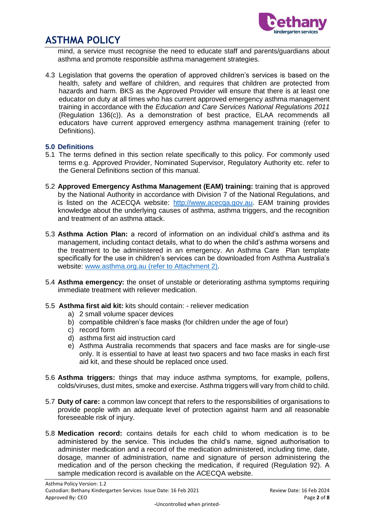

mind, a service must recognise the need to educate staff and parents/guardians about asthma and promote responsible asthma management strategies.

4.3 Legislation that governs the operation of approved children's services is based on the health, safety and welfare of children, and requires that children are protected from hazards and harm. BKS as the Approved Provider will ensure that there is at least one educator on duty at all times who has current approved emergency asthma management training in accordance with the *Education and Care Services National Regulations 2011* (Regulation 136(c)). As a demonstration of best practice, ELAA recommends all educators have current approved emergency asthma management training (refer to Definitions).

#### **5.0 Definitions**

- 5.1 The terms defined in this section relate specifically to this policy. For commonly used terms e.g. Approved Provider, Nominated Supervisor, Regulatory Authority etc. refer to the General Definitions section of this manual.
- 5.2 **Approved Emergency Asthma Management (EAM) training:** training that is approved by the National Authority in accordance with Division 7 of the National Regulations, and is listed on the ACECQA website: [http://www.acecqa.gov.au.](http://www.acecqa.gov.au/) EAM training provides knowledge about the underlying causes of asthma, asthma triggers, and the recognition and treatment of an asthma attack.
- 5.3 **Asthma Action Plan:** a record of information on an individual child's asthma and its management, including contact details, what to do when the child's asthma worsens and the treatment to be administered in an emergency. An Asthma Care Plan template specifically for the use in children's services can be downloaded from Asthma Australia's website: [www.asthma.org.au](http://www.asthma.org.au/) (refer to Attachment 2).
- 5.4 **Asthma emergency:** the onset of unstable or deteriorating asthma symptoms requiring immediate treatment with reliever medication.
- 5.5 **Asthma first aid kit:** kits should contain: reliever medication
	- a) 2 small volume spacer devices
	- b) compatible children's face masks (for children under the age of four)
	- c) record form
	- d) asthma first aid instruction card
	- e) Asthma Australia recommends that spacers and face masks are for single-use only. It is essential to have at least two spacers and two face masks in each first aid kit, and these should be replaced once used.
- 5.6 **Asthma triggers:** things that may induce asthma symptoms, for example, pollens, colds/viruses, dust mites, smoke and exercise. Asthma triggers will vary from child to child.
- 5.7 **Duty of care:** a common law concept that refers to the responsibilities of organisations to provide people with an adequate level of protection against harm and all reasonable foreseeable risk of injury.
- 5.8 **Medication record:** contains details for each child to whom medication is to be administered by the service. This includes the child's name, signed authorisation to administer medication and a record of the medication administered, including time, date, dosage, manner of administration, name and signature of person administering the medication and of the person checking the medication, if required (Regulation 92). A sample medication record is available on the ACECQA website.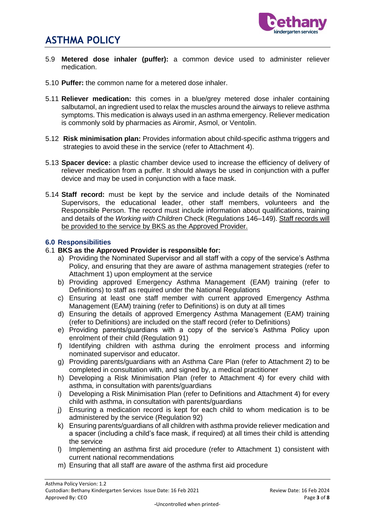

- 5.9 **Metered dose inhaler (puffer):** a common device used to administer reliever medication.
- 5.10 **Puffer:** the common name for a metered dose inhaler.
- 5.11 **Reliever medication:** this comes in a blue/grey metered dose inhaler containing salbutamol, an ingredient used to relax the muscles around the airways to relieve asthma symptoms. This medication is always used in an asthma emergency. Reliever medication is commonly sold by pharmacies as Airomir, Asmol, or Ventolin.
- 5.12 **Risk minimisation plan:** Provides information about child-specific asthma triggers and strategies to avoid these in the service (refer to Attachment 4).
- 5.13 **Spacer device:** a plastic chamber device used to increase the efficiency of delivery of reliever medication from a puffer. It should always be used in conjunction with a puffer device and may be used in conjunction with a face mask.
- 5.14 **Staff record:** must be kept by the service and include details of the Nominated Supervisors, the educational leader, other staff members, volunteers and the Responsible Person. The record must include information about qualifications, training and details of the *Working with Children* Check (Regulations 146–149). Staff records will be provided to the service by BKS as the Approved Provider.

#### **6.0 Responsibilities**

#### 6.1 **BKS as the Approved Provider is responsible for:**

- a) Providing the Nominated Supervisor and all staff with a copy of the service's Asthma Policy, and ensuring that they are aware of asthma management strategies (refer to Attachment 1) upon employment at the service
- b) Providing approved Emergency Asthma Management (EAM) training (refer to Definitions) to staff as required under the National Regulations
- c) Ensuring at least one staff member with current approved Emergency Asthma Management (EAM) training (refer to Definitions) is on duty at all times
- d) Ensuring the details of approved Emergency Asthma Management (EAM) training (refer to Definitions) are included on the staff record (refer to Definitions)
- e) Providing parents/guardians with a copy of the service's Asthma Policy upon enrolment of their child (Regulation 91)
- f) Identifying children with asthma during the enrolment process and informing nominated supervisor and educator.
- g) Providing parents/guardians with an Asthma Care Plan (refer to Attachment 2) to be completed in consultation with, and signed by, a medical practitioner
- h) Developing a Risk Minimisation Plan (refer to Attachment 4) for every child with asthma, in consultation with parents/guardians
- i) Developing a Risk Minimisation Plan (refer to Definitions and Attachment 4) for every child with asthma, in consultation with parents/guardians
- j) Ensuring a medication record is kept for each child to whom medication is to be administered by the service (Regulation 92)
- k) Ensuring parents/guardians of all children with asthma provide reliever medication and a spacer (including a child's face mask, if required) at all times their child is attending the service
- l) Implementing an asthma first aid procedure (refer to Attachment 1) consistent with current national recommendations
- m) Ensuring that all staff are aware of the asthma first aid procedure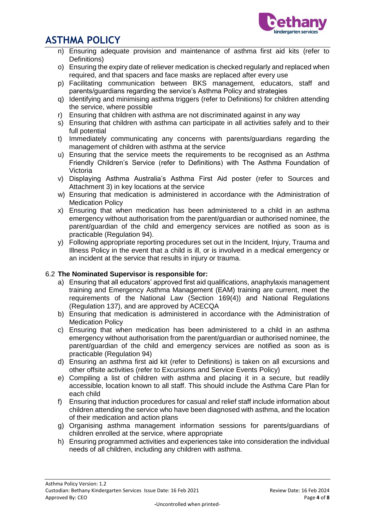

- n) Ensuring adequate provision and maintenance of asthma first aid kits (refer to Definitions)
- o) Ensuring the expiry date of reliever medication is checked regularly and replaced when required, and that spacers and face masks are replaced after every use
- p) Facilitating communication between BKS management, educators, staff and parents/guardians regarding the service's Asthma Policy and strategies
- q) Identifying and minimising asthma triggers (refer to Definitions) for children attending the service, where possible
- r) Ensuring that children with asthma are not discriminated against in any way
- s) Ensuring that children with asthma can participate in all activities safely and to their full potential
- t) Immediately communicating any concerns with parents/guardians regarding the management of children with asthma at the service
- u) Ensuring that the service meets the requirements to be recognised as an Asthma Friendly Children's Service (refer to Definitions) with The Asthma Foundation of Victoria
- v) Displaying Asthma Australia's Asthma First Aid poster (refer to Sources and Attachment 3) in key locations at the service
- w) Ensuring that medication is administered in accordance with the Administration of Medication Policy
- x) Ensuring that when medication has been administered to a child in an asthma emergency without authorisation from the parent/guardian or authorised nominee, the parent/guardian of the child and emergency services are notified as soon as is practicable (Regulation 94).
- y) Following appropriate reporting procedures set out in the Incident, Injury, Trauma and Illness Policy in the event that a child is ill, or is involved in a medical emergency or an incident at the service that results in injury or trauma.

## 6.2 **The Nominated Supervisor is responsible for:**

- a) Ensuring that all educators' approved first aid qualifications, anaphylaxis management training and Emergency Asthma Management (EAM) training are current, meet the requirements of the National Law (Section 169(4)) and National Regulations (Regulation 137), and are approved by ACECQA
- b) Ensuring that medication is administered in accordance with the Administration of Medication Policy
- c) Ensuring that when medication has been administered to a child in an asthma emergency without authorisation from the parent/guardian or authorised nominee, the parent/guardian of the child and emergency services are notified as soon as is practicable (Regulation 94)
- d) Ensuring an asthma first aid kit (refer to Definitions) is taken on all excursions and other offsite activities (refer to Excursions and Service Events Policy)
- e) Compiling a list of children with asthma and placing it in a secure, but readily accessible, location known to all staff. This should include the Asthma Care Plan for each child
- f) Ensuring that induction procedures for casual and relief staff include information about children attending the service who have been diagnosed with asthma, and the location of their medication and action plans
- g) Organising asthma management information sessions for parents/guardians of children enrolled at the service, where appropriate
- h) Ensuring programmed activities and experiences take into consideration the individual needs of all children, including any children with asthma.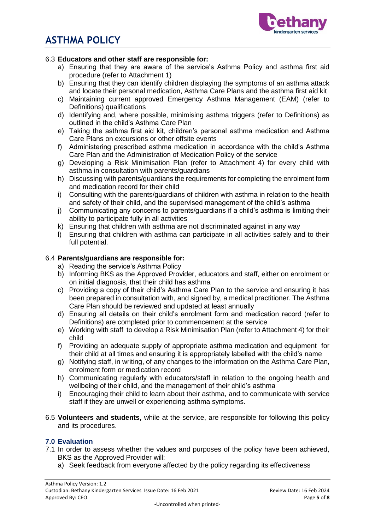

#### 6.3 **Educators and other staff are responsible for:**

- a) Ensuring that they are aware of the service's Asthma Policy and asthma first aid procedure (refer to Attachment 1)
- b) Ensuring that they can identify children displaying the symptoms of an asthma attack and locate their personal medication, Asthma Care Plans and the asthma first aid kit
- c) Maintaining current approved Emergency Asthma Management (EAM) (refer to Definitions) qualifications
- d) Identifying and, where possible, minimising asthma triggers (refer to Definitions) as outlined in the child's Asthma Care Plan
- e) Taking the asthma first aid kit, children's personal asthma medication and Asthma Care Plans on excursions or other offsite events
- f) Administering prescribed asthma medication in accordance with the child's Asthma Care Plan and the Administration of Medication Policy of the service
- g) Developing a Risk Minimisation Plan (refer to Attachment 4) for every child with asthma in consultation with parents/guardians
- h) Discussing with parents/guardians the requirements for completing the enrolment form and medication record for their child
- i) Consulting with the parents/guardians of children with asthma in relation to the health and safety of their child, and the supervised management of the child's asthma
- j) Communicating any concerns to parents/guardians if a child's asthma is limiting their ability to participate fully in all activities
- k) Ensuring that children with asthma are not discriminated against in any way
- l) Ensuring that children with asthma can participate in all activities safely and to their full potential.

#### 6.4 **Parents/guardians are responsible for:**

- a) Reading the service's Asthma Policy
- b) Informing BKS as the Approved Provider, educators and staff, either on enrolment or on initial diagnosis, that their child has asthma
- c) Providing a copy of their child's Asthma Care Plan to the service and ensuring it has been prepared in consultation with, and signed by, a medical practitioner. The Asthma Care Plan should be reviewed and updated at least annually
- d) Ensuring all details on their child's enrolment form and medication record (refer to Definitions) are completed prior to commencement at the service
- e) Working with staff to develop a Risk Minimisation Plan (refer to Attachment 4) for their child
- f) Providing an adequate supply of appropriate asthma medication and equipment for their child at all times and ensuring it is appropriately labelled with the child's name
- g) Notifying staff, in writing, of any changes to the information on the Asthma Care Plan, enrolment form or medication record
- h) Communicating regularly with educators/staff in relation to the ongoing health and wellbeing of their child, and the management of their child's asthma
- i) Encouraging their child to learn about their asthma, and to communicate with service staff if they are unwell or experiencing asthma symptoms.
- 6.5 **Volunteers and students,** while at the service, are responsible for following this policy and its procedures.

#### **7.0 Evaluation**

- 7.1 In order to assess whether the values and purposes of the policy have been achieved, BKS as the Approved Provider will:
	- a) Seek feedback from everyone affected by the policy regarding its effectiveness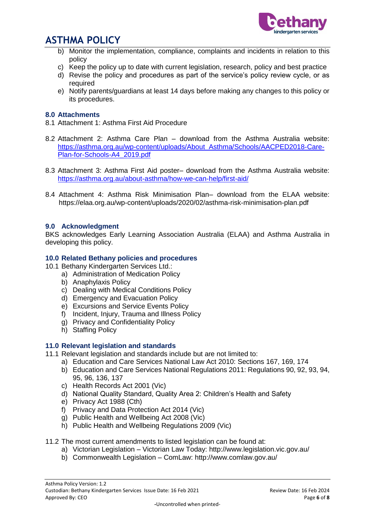

- b) Monitor the implementation, compliance, complaints and incidents in relation to this policy
- c) Keep the policy up to date with current legislation, research, policy and best practice
- d) Revise the policy and procedures as part of the service's policy review cycle, or as required
- e) Notify parents/guardians at least 14 days before making any changes to this policy or its procedures.

#### **8.0 Attachments**

- 8.1 Attachment 1: Asthma First Aid Procedure
- 8.2 Attachment 2: Asthma Care Plan download from the Asthma Australia website: [https://asthma.org.au/wp-content/uploads/About\\_Asthma/Schools/AACPED2018-Care-](https://asthma.org.au/wp-content/uploads/About_Asthma/Schools/AACPED2018-Care-Plan-for-Schools-A4_2019.pdf)[Plan-for-Schools-A4\\_2019.pdf](https://asthma.org.au/wp-content/uploads/About_Asthma/Schools/AACPED2018-Care-Plan-for-Schools-A4_2019.pdf)
- 8.3 Attachment 3: Asthma First Aid poster– download from the Asthma Australia website: <https://asthma.org.au/about-asthma/how-we-can-help/first-aid/>
- 8.4 Attachment 4: Asthma Risk Minimisation Plan– download from the ELAA website: https://elaa.org.au/wp-content/uploads/2020/02/asthma-risk-minimisation-plan.pdf

#### **9.0 Acknowledgment**

BKS acknowledges Early Learning Association Australia (ELAA) and Asthma Australia in developing this policy.

#### **10.0 Related Bethany policies and procedures**

- 10.1 Bethany Kindergarten Services Ltd.:
	- a) Administration of Medication Policy
	- b) Anaphylaxis Policy
	- c) Dealing with Medical Conditions Policy
	- d) Emergency and Evacuation Policy
	- e) Excursions and Service Events Policy
	- f) Incident, Injury, Trauma and Illness Policy
	- g) Privacy and Confidentiality Policy
	- h) Staffing Policy

#### **11.0 Relevant legislation and standards**

- 11.1 Relevant legislation and standards include but are not limited to:
	- a) Education and Care Services National Law Act 2010: Sections 167, 169, 174
	- b) Education and Care Services National Regulations 2011: Regulations 90, 92, 93, 94, 95, 96, 136, 137
	- c) Health Records Act 2001 (Vic)
	- d) National Quality Standard, Quality Area 2: Children's Health and Safety
	- e) Privacy Act 1988 (Cth)
	- f) Privacy and Data Protection Act 2014 (Vic)
	- g) Public Health and Wellbeing Act 2008 (Vic)
	- h) Public Health and Wellbeing Regulations 2009 (Vic)

#### 11.2 The most current amendments to listed legislation can be found at:

- a) Victorian Legislation Victorian Law Today: http://www.legislation.vic.gov.au/
- b) Commonwealth Legislation ComLaw: http://www.comlaw.gov.au/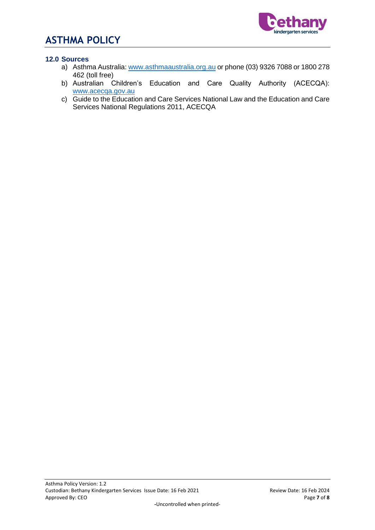

## **12.0 Sources**

- a) Asthma Australia[: www.asthmaaustralia.org.au](http://www.asthmaaustralia.org.au/) or phone (03) 9326 7088 or 1800 278 462 (toll free)
- b) Australian Children's Education and Care Quality Authority (ACECQA): [www.acecqa.gov.au](http://www.acecqa.gov.au/)
- c) Guide to the Education and Care Services National Law and the Education and Care Services National Regulations 2011, ACECQA